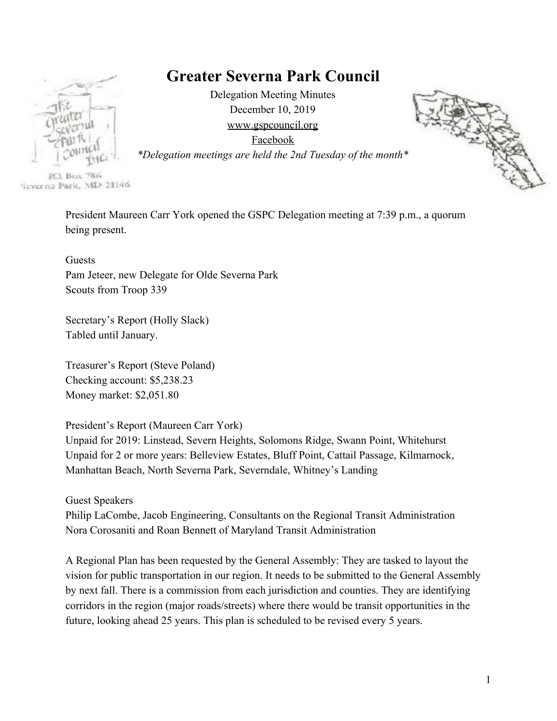# **Greater Severna Park Council**



Delegation Meeting Minutes December 10, 2019 [www.gspcouncil.org](http://www.gspcouncil.org/) [Facebook](https://www.facebook.com/severnaparkcouncil/)



*\*Delegation meetings are held the 2nd Tuesday of the month\**

**P.O. Bux 786** lieverna Park, MD 21146

> President Maureen Carr York opened the GSPC Delegation meeting at 7:39 p.m., a quorum being present.

Guests Pam Jeteer, new Delegate for Olde Severna Park Scouts from Troop 339

Secretary's Report (Holly Slack) Tabled until January.

Treasurer's Report (Steve Poland) Checking account: \$5,238.23 Money market: \$2,051.80

President's Report (Maureen Carr York)

Unpaid for 2019: Linstead, Severn Heights, Solomons Ridge, Swann Point, Whitehurst Unpaid for 2 or more years: Belleview Estates, Bluff Point, Cattail Passage, Kilmarnock, Manhattan Beach, North Severna Park, Severndale, Whitney's Landing

Guest Speakers

Philip LaCombe, Jacob Engineering, Consultants on the Regional Transit Administration Nora Corosaniti and Roan Bennett of Maryland Transit Administration

A Regional Plan has been requested by the General Assembly: They are tasked to layout the vision for public transportation in our region. It needs to be submitted to the General Assembly by next fall. There is a commission from each jurisdiction and counties. They are identifying corridors in the region (major roads/streets) where there would be transit opportunities in the future, looking ahead 25 years. This plan is scheduled to be revised every 5 years.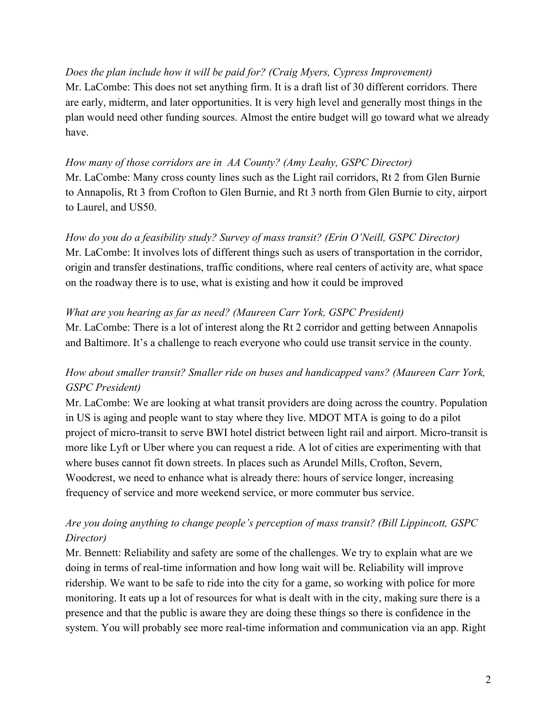*Does the plan include how it will be paid for? (Craig Myers, Cypress Improvement)* Mr. LaCombe: This does not set anything firm. It is a draft list of 30 different corridors. There are early, midterm, and later opportunities. It is very high level and generally most things in the plan would need other funding sources. Almost the entire budget will go toward what we already have.

*How many of those corridors are in AA County? (Amy Leahy, GSPC Director)* Mr. LaCombe: Many cross county lines such as the Light rail corridors, Rt 2 from Glen Burnie to Annapolis, Rt 3 from Crofton to Glen Burnie, and Rt 3 north from Glen Burnie to city, airport to Laurel, and US50.

*How do you do a feasibility study? Survey of mass transit? (Erin O'Neill, GSPC Director)* Mr. LaCombe: It involves lots of different things such as users of transportation in the corridor, origin and transfer destinations, traffic conditions, where real centers of activity are, what space on the roadway there is to use, what is existing and how it could be improved

#### *What are you hearing as far as need? (Maureen Carr York, GSPC President)*

Mr. LaCombe: There is a lot of interest along the Rt 2 corridor and getting between Annapolis and Baltimore. It's a challenge to reach everyone who could use transit service in the county.

# *How about smaller transit? Smaller ride on buses and handicapped vans? (Maureen Carr York, GSPC President)*

Mr. LaCombe: We are looking at what transit providers are doing across the country. Population in US is aging and people want to stay where they live. MDOT MTA is going to do a pilot project of micro-transit to serve BWI hotel district between light rail and airport. Micro-transit is more like Lyft or Uber where you can request a ride. A lot of cities are experimenting with that where buses cannot fit down streets. In places such as Arundel Mills, Crofton, Severn, Woodcrest, we need to enhance what is already there: hours of service longer, increasing frequency of service and more weekend service, or more commuter bus service.

# *Are you doing anything to change people's perception of mass transit? (Bill Lippincott, GSPC Director)*

Mr. Bennett: Reliability and safety are some of the challenges. We try to explain what are we doing in terms of real-time information and how long wait will be. Reliability will improve ridership. We want to be safe to ride into the city for a game, so working with police for more monitoring. It eats up a lot of resources for what is dealt with in the city, making sure there is a presence and that the public is aware they are doing these things so there is confidence in the system. You will probably see more real-time information and communication via an app. Right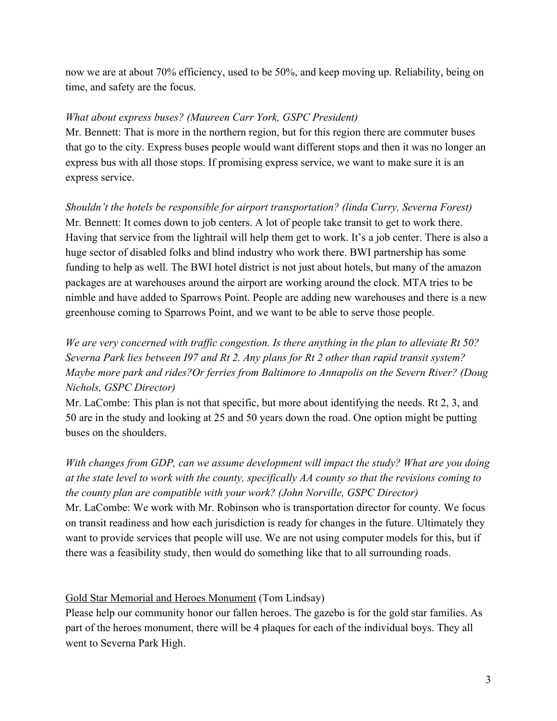now we are at about 70% efficiency, used to be 50%, and keep moving up. Reliability, being on time, and safety are the focus.

#### *What about express buses? (Maureen Carr York, GSPC President)*

Mr. Bennett: That is more in the northern region, but for this region there are commuter buses that go to the city. Express buses people would want different stops and then it was no longer an express bus with all those stops. If promising express service, we want to make sure it is an express service.

*Shouldn't the hotels be responsible for airport transportation? (linda Curry, Severna Forest)* Mr. Bennett: It comes down to job centers. A lot of people take transit to get to work there. Having that service from the lightrail will help them get to work. It's a job center. There is also a huge sector of disabled folks and blind industry who work there. BWI partnership has some funding to help as well. The BWI hotel district is not just about hotels, but many of the amazon packages are at warehouses around the airport are working around the clock. MTA tries to be nimble and have added to Sparrows Point. People are adding new warehouses and there is a new greenhouse coming to Sparrows Point, and we want to be able to serve those people.

# *We are very concerned with traffic congestion. Is there anything in the plan to alleviate Rt 50? Severna Park lies between I97 and Rt 2. Any plans for Rt 2 other than rapid transit system? Maybe more park and rides?Or ferries from Baltimore to Annapolis on the Severn River? (Doug Nichols, GSPC Director)*

Mr. LaCombe: This plan is not that specific, but more about identifying the needs. Rt 2, 3, and 50 are in the study and looking at 25 and 50 years down the road. One option might be putting buses on the shoulders.

*With changes from GDP, can we assume development will impact the study? What are you doing at the state level to work with the county, specifically AA county so that the revisions coming to the county plan are compatible with your work? (John Norville, GSPC Director)*

Mr. LaCombe: We work with Mr. Robinson who is transportation director for county. We focus on transit readiness and how each jurisdiction is ready for changes in the future. Ultimately they want to provide services that people will use. We are not using computer models for this, but if there was a feasibility study, then would do something like that to all surrounding roads.

[Gold Star Memorial and Heroes Monument](http://heroesofsevernapark.com/) (Tom Lindsay)

Please help our community honor our fallen heroes. The gazebo is for the gold star families. As part of the heroes monument, there will be 4 plaques for each of the individual boys. They all went to Severna Park High.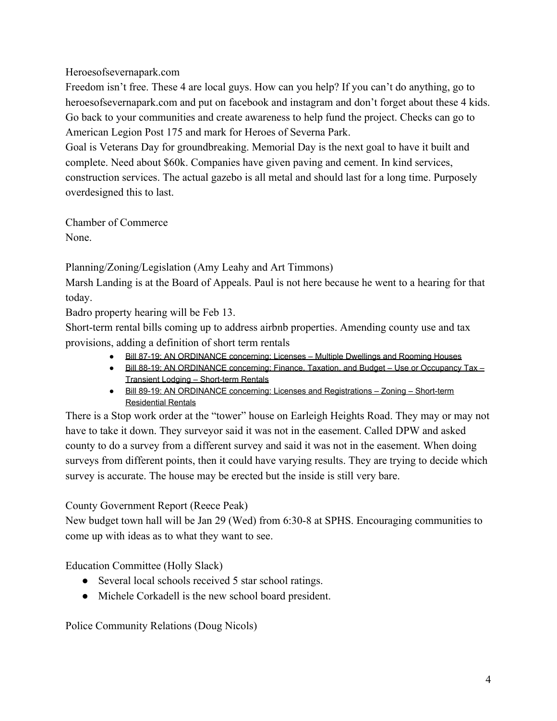## Heroesofsevernapark.com

Freedom isn't free. These 4 are local guys. How can you help? If you can't do anything, go to heroesofsevernapark.com and put on facebook and instagram and don't forget about these 4 kids. Go back to your communities and create awareness to help fund the project. Checks can go to American Legion Post 175 and mark for Heroes of Severna Park.

Goal is Veterans Day for groundbreaking. Memorial Day is the next goal to have it built and complete. Need about \$60k. Companies have given paving and cement. In kind services, construction services. The actual gazebo is all metal and should last for a long time. Purposely overdesigned this to last.

Chamber of Commerce None.

Planning/Zoning/Legislation (Amy Leahy and Art Timmons)

Marsh Landing is at the Board of Appeals. Paul is not here because he went to a hearing for that today.

Badro property hearing will be Feb 13.

Short-term rental bills coming up to address airbnb properties. Amending county use and tax provisions, adding a definition of short term rentals

- [Bill 87-19: AN ORDINANCE concerning: Licenses Multiple Dwellings and Rooming Houses](http://r20.rs6.net/tn.jsp?f=001AAAAEVNJYb3jbMEG_R5UKH_Pt4pSOqzHGkndxhwPvBsjqdwke71vyzO0VV9Ffmw7warppDxFcxCPuMGzUZd2j8e74MdcL47JmH2vzFA7IrrQ5LfulicTgI3PXU6F42NtxIX7SWaoNx6jpourL_mEuL4rZ7Fh8J1vfawdyZOh_T05yUyoaHeectLSRrDGrrlz8aOonjtxvrWoqDrPtWwDbAliOd1npAgLVTix0tx76gkb0aT6V27CoL9GOlpx0lcvk2BbGmGU3_JYOrssWc9_4DPKHAVGOa3BopW8vRZJVEgs-9Iuzx5LyEM0glmqamoAHMPKuCiLGkA=&c=0l2Uijye2LJetPKOTI2Rn6YFyLzFdeTRZ-aQgRb7mI5J1oAMyEdMtw==&ch=9OuOV1PboGbECrfiDb1Q31GiGa9unrxvErMKQlHD35oBpJ5GvDSMAg==)
- [Bill 88-19: AN ORDINANCE concerning: Finance, Taxation, and Budget Use or Occupancy Tax –](http://r20.rs6.net/tn.jsp?f=001AAAAEVNJYb3jbMEG_R5UKH_Pt4pSOqzHGkndxhwPvBsjqdwke71vyzO0VV9Ffmw7VV3ogiw3L4m9QUw8a1PEdrMh8-pA8CaMU_0ueZTMC77ZiVvBr_20UyGkSL7F7nDlaO0nFR-EcCWVwY6y_4ZLuvWHgUXaW1nuTmwPsdJT0iK5LPYTF6pjejMXCatGBOZ_O_gpGNJLSNl1OFAbJDORhn5nwO5GfIras6UtrCU3eVGEpdhCI2Rj4jUgHD2ZAD6mbGkC27_mXibcKN0yi_eXNAi50OCbR5Au-TcIw-Bb3z31egQlciJz6mZwihiyU2cVNYxR9obiHHONe01I1IgB1rmj7i3K6ZDHKhxyE__vQ2Vxig3kptGAkiGsPVbSmGhH&c=0l2Uijye2LJetPKOTI2Rn6YFyLzFdeTRZ-aQgRb7mI5J1oAMyEdMtw==&ch=9OuOV1PboGbECrfiDb1Q31GiGa9unrxvErMKQlHD35oBpJ5GvDSMAg==) [Transient Lodging – Short-term Rentals](http://r20.rs6.net/tn.jsp?f=001AAAAEVNJYb3jbMEG_R5UKH_Pt4pSOqzHGkndxhwPvBsjqdwke71vyzO0VV9Ffmw7VV3ogiw3L4m9QUw8a1PEdrMh8-pA8CaMU_0ueZTMC77ZiVvBr_20UyGkSL7F7nDlaO0nFR-EcCWVwY6y_4ZLuvWHgUXaW1nuTmwPsdJT0iK5LPYTF6pjejMXCatGBOZ_O_gpGNJLSNl1OFAbJDORhn5nwO5GfIras6UtrCU3eVGEpdhCI2Rj4jUgHD2ZAD6mbGkC27_mXibcKN0yi_eXNAi50OCbR5Au-TcIw-Bb3z31egQlciJz6mZwihiyU2cVNYxR9obiHHONe01I1IgB1rmj7i3K6ZDHKhxyE__vQ2Vxig3kptGAkiGsPVbSmGhH&c=0l2Uijye2LJetPKOTI2Rn6YFyLzFdeTRZ-aQgRb7mI5J1oAMyEdMtw==&ch=9OuOV1PboGbECrfiDb1Q31GiGa9unrxvErMKQlHD35oBpJ5GvDSMAg==)
- [Bill 89-19: AN ORDINANCE concerning: Licenses and Registrations Zoning Short-term](http://r20.rs6.net/tn.jsp?f=001AAAAEVNJYb3jbMEG_R5UKH_Pt4pSOqzHGkndxhwPvBsjqdwke71vyzO0VV9Ffmw7awI_yKkfvGHRmydjV5RUAnqwL2BzT1awfER7nIn59Esz_f7WXmdbrMA0bmi9kCrcG3ySgdq24PLu5YplsZNHz72hqdFquvuY6enrdUhbpfxPxYXBBo-nwAkzeyJgxvT0SiIHLsMWc0ezCu3fx8IWBJO8zQaIiaNEoET6pGYJ8SNNJ_WnnbHrsoDMfFByxRxfTaQBDsZLoJOGpFeVu53ibpquAkt-zTty3TFPMX2yNAM09Yoy9iGvOc0su_2F9KLyjrQmEaA39BFCCSIa1xKWChz8gkr8juRXtc8PQ7b1FIo=&c=0l2Uijye2LJetPKOTI2Rn6YFyLzFdeTRZ-aQgRb7mI5J1oAMyEdMtw==&ch=9OuOV1PboGbECrfiDb1Q31GiGa9unrxvErMKQlHD35oBpJ5GvDSMAg==) [Residential Rentals](http://r20.rs6.net/tn.jsp?f=001AAAAEVNJYb3jbMEG_R5UKH_Pt4pSOqzHGkndxhwPvBsjqdwke71vyzO0VV9Ffmw7awI_yKkfvGHRmydjV5RUAnqwL2BzT1awfER7nIn59Esz_f7WXmdbrMA0bmi9kCrcG3ySgdq24PLu5YplsZNHz72hqdFquvuY6enrdUhbpfxPxYXBBo-nwAkzeyJgxvT0SiIHLsMWc0ezCu3fx8IWBJO8zQaIiaNEoET6pGYJ8SNNJ_WnnbHrsoDMfFByxRxfTaQBDsZLoJOGpFeVu53ibpquAkt-zTty3TFPMX2yNAM09Yoy9iGvOc0su_2F9KLyjrQmEaA39BFCCSIa1xKWChz8gkr8juRXtc8PQ7b1FIo=&c=0l2Uijye2LJetPKOTI2Rn6YFyLzFdeTRZ-aQgRb7mI5J1oAMyEdMtw==&ch=9OuOV1PboGbECrfiDb1Q31GiGa9unrxvErMKQlHD35oBpJ5GvDSMAg==)

There is a Stop work order at the "tower" house on Earleigh Heights Road. They may or may not have to take it down. They surveyor said it was not in the easement. Called DPW and asked county to do a survey from a different survey and said it was not in the easement. When doing surveys from different points, then it could have varying results. They are trying to decide which survey is accurate. The house may be erected but the inside is still very bare.

County Government Report (Reece Peak)

New budget town hall will be Jan 29 (Wed) from 6:30-8 at SPHS. Encouraging communities to come up with ideas as to what they want to see.

Education Committee (Holly Slack)

- Several local schools received 5 star school ratings.
- Michele Corkadell is the new school board president.

Police Community Relations (Doug Nicols)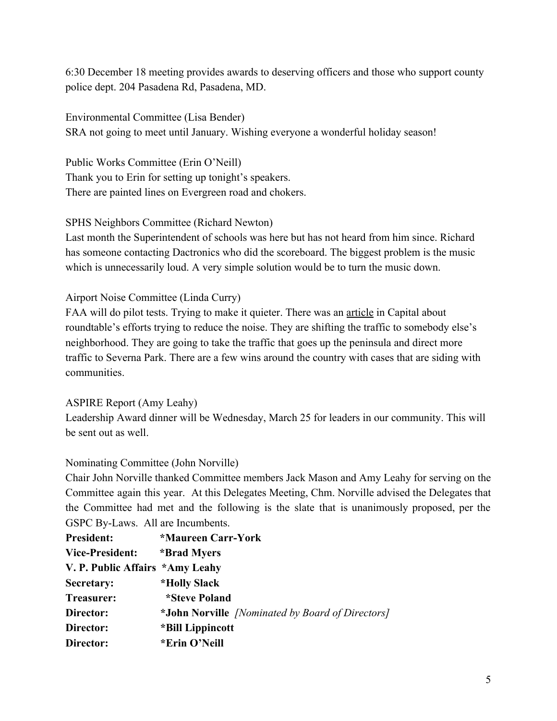6:30 December 18 meeting provides awards to deserving officers and those who support county police dept. 204 Pasadena Rd, Pasadena, MD.

Environmental Committee (Lisa Bender) SRA not going to meet until January. Wishing everyone a wonderful holiday season!

Public Works Committee (Erin O'Neill) Thank you to Erin for setting up tonight's speakers. There are painted lines on Evergreen road and chokers.

SPHS Neighbors Committee (Richard Newton)

Last month the Superintendent of schools was here but has not heard from him since. Richard has someone contacting Dactronics who did the scoreboard. The biggest problem is the music which is unnecessarily loud. A very simple solution would be to turn the music down.

Airport Noise Committee (Linda Curry)

FAA will do pilot tests. Trying to make it quieter. There was an [article](https://www.capitalgazette.com/news/ac-cn-bwi-vote-20191120-h26v3jcbovbbfj3w5myqb3b2wi-story.html) in Capital about roundtable's efforts trying to reduce the noise. They are shifting the traffic to somebody else's neighborhood. They are going to take the traffic that goes up the peninsula and direct more traffic to Severna Park. There are a few wins around the country with cases that are siding with communities.

## ASPIRE Report (Amy Leahy)

Leadership Award dinner will be Wednesday, March 25 for leaders in our community. This will be sent out as well.

## Nominating Committee (John Norville)

Chair John Norville thanked Committee members Jack Mason and Amy Leahy for serving on the Committee again this year. At this Delegates Meeting, Chm. Norville advised the Delegates that the Committee had met and the following is the slate that is unanimously proposed, per the GSPC By-Laws. All are Incumbents.

| <b>President:</b>               | *Maureen Carr-York                               |
|---------------------------------|--------------------------------------------------|
| <b>Vice-President:</b>          | *Brad Myers                                      |
| V. P. Public Affairs *Amy Leahy |                                                  |
| Secretary:                      | <i><b>*Holly Slack</b></i>                       |
| Treasurer:                      | <i>*Steve Poland</i>                             |
| Director:                       | *John Norville [Nominated by Board of Directors] |
| Director:                       | *Bill Lippincott                                 |
| Director:                       | *Erin O'Neill                                    |